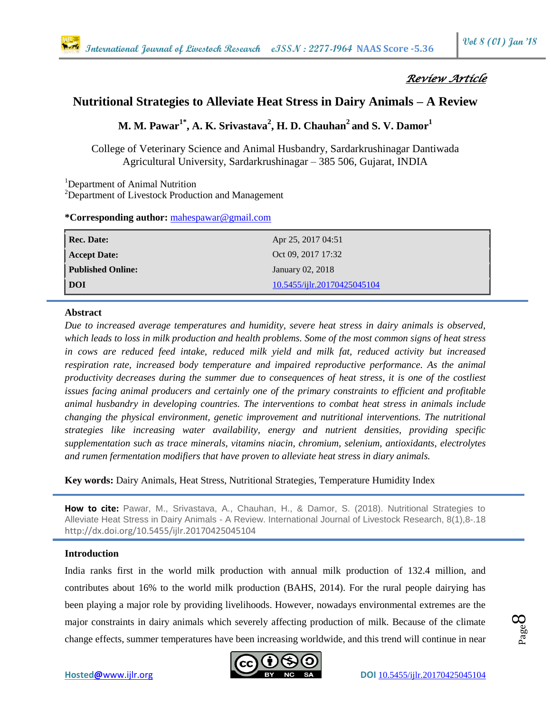# *Review Article*

## **Nutritional Strategies to Alleviate Heat Stress in Dairy Animals – A Review**

**M. M. Pawar1\*, A. K. Srivastava<sup>2</sup> , H. D. Chauhan<sup>2</sup>and S. V. Damor<sup>1</sup>**

College of Veterinary Science and Animal Husbandry, Sardarkrushinagar Dantiwada Agricultural University, Sardarkrushinagar – 385 506, Gujarat, INDIA

<sup>1</sup>Department of Animal Nutrition

<sup>2</sup>Department of Livestock Production and Management

**\*Corresponding author:** [mahespawar@gmail.com](mailto:mahespawar@gmail.com)

| Rec. Date:               | Apr 25, 2017 04:51          |
|--------------------------|-----------------------------|
| Accept Date:             | Oct 09, 2017 17:32          |
| <b>Published Online:</b> | January 02, 2018            |
| DOI                      | 10.5455/ijlr.20170425045104 |

## **Abstract**

*Due to increased average temperatures and humidity, severe heat stress in dairy animals is observed, which leads to loss in milk production and health problems. Some of the most common signs of heat stress in cows are reduced feed intake, reduced milk yield and milk fat, reduced activity but increased respiration rate, increased body temperature and impaired reproductive performance. As the animal productivity decreases during the summer due to consequences of heat stress, it is one of the costliest issues facing animal producers and certainly one of the primary constraints to efficient and profitable animal husbandry in developing countries. The interventions to combat heat stress in animals include changing the physical environment, genetic improvement and nutritional interventions. The nutritional strategies like increasing water availability, energy and nutrient densities, providing specific supplementation such as trace minerals, vitamins niacin, chromium, selenium, antioxidants, electrolytes and rumen fermentation modifiers that have proven to alleviate heat stress in diary animals.*

**Key words:** Dairy Animals, Heat Stress, Nutritional Strategies, Temperature Humidity Index

**How to cite:** Pawar, M., Srivastava, A., Chauhan, H., & Damor, S. (2018). Nutritional Strategies to Alleviate Heat Stress in Dairy Animals - A Review. International Journal of Livestock Research, 8(1),8-.18 <http://dx.doi.org/10.5455/ijlr.20170425045104>

## **Introduction**

India ranks first in the world milk production with annual milk production of 132.4 million, and contributes about 16% to the world milk production (BAHS, 2014). For the rural people dairying has been playing a major role by providing livelihoods. However, nowadays environmental extremes are the major constraints in dairy animals which severely affecting production of milk. Because of the climate change effects, summer temperatures have been increasing worldwide, and this trend will continue in near



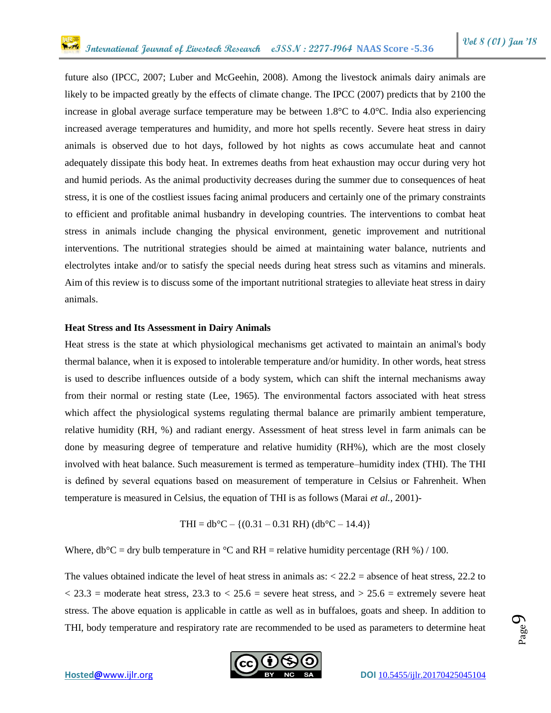future also (IPCC, 2007; Luber and McGeehin, 2008). Among the livestock animals dairy animals are likely to be impacted greatly by the effects of climate change. The IPCC (2007) predicts that by 2100 the increase in global average surface temperature may be between 1.8°C to 4.0°C. India also experiencing increased average temperatures and humidity, and more hot spells recently. Severe heat stress in dairy animals is observed due to hot days, followed by hot nights as cows accumulate heat and cannot adequately dissipate this body heat. In extremes deaths from heat exhaustion may occur during very hot and humid periods. As the animal productivity decreases during the summer due to consequences of heat stress, it is one of the costliest issues facing animal producers and certainly one of the primary constraints to efficient and profitable animal husbandry in developing countries. The interventions to combat heat stress in animals include changing the physical environment, genetic improvement and nutritional interventions. The nutritional strategies should be aimed at maintaining water balance, nutrients and electrolytes intake and/or to satisfy the special needs during heat stress such as vitamins and minerals. Aim of this review is to discuss some of the important nutritional strategies to alleviate heat stress in dairy animals.

#### **Heat Stress and Its Assessment in Dairy Animals**

Heat stress is the state at which physiological mechanisms get activated to maintain an animal's body thermal balance, when it is exposed to intolerable temperature and/or humidity. In other words, heat stress is used to describe influences outside of a body system, which can shift the internal mechanisms away from their normal or resting state (Lee, 1965). The environmental factors associated with heat stress which affect the physiological systems regulating thermal balance are primarily ambient temperature, relative humidity (RH, %) and radiant energy. Assessment of heat stress level in farm animals can be done by measuring degree of temperature and relative humidity (RH%), which are the most closely involved with heat balance. Such measurement is termed as temperature–humidity index (THI). The THI is defined by several equations based on measurement of temperature in Celsius or Fahrenheit. When temperature is measured in Celsius, the equation of THI is as follows (Marai *et al.,* 2001)-

$$
THI = db^{\circ}C - \{(0.31 - 0.31 \text{ RH}) \ (db^{\circ}C - 14.4)\}
$$

Where,  $db^{\circ}C = dry$  bulb temperature in  ${}^{\circ}C$  and RH = relative humidity percentage (RH %) / 100.

The values obtained indicate the level of heat stress in animals as: < 22.2 = absence of heat stress, 22.2 to  $<$  23.3 = moderate heat stress, 23.3 to  $<$  25.6 = severe heat stress, and  $>$  25.6 = extremely severe heat stress. The above equation is applicable in cattle as well as in buffaloes, goats and sheep. In addition to THI, body temperature and respiratory rate are recommended to be used as parameters to determine heat



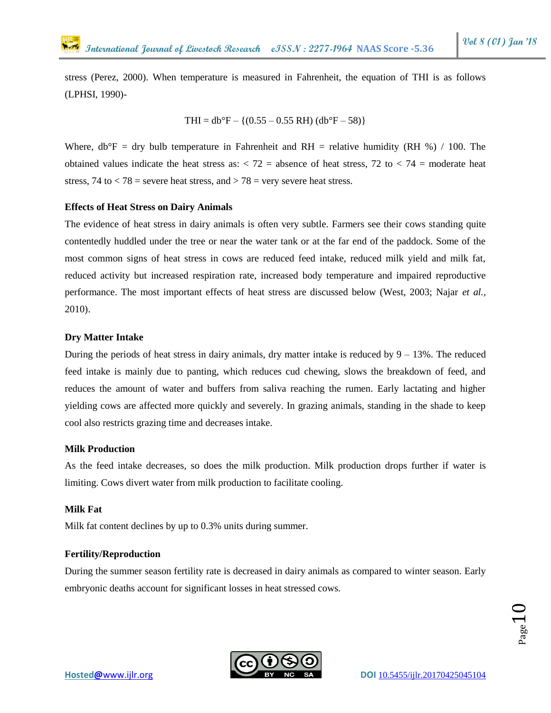stress (Perez, 2000). When temperature is measured in Fahrenheit, the equation of THI is as follows (LPHSI, 1990)-

$$
THI = db^{\circ}F - \{(0.55 - 0.55 RH) (db^{\circ}F - 58)\}
$$

Where,  $db^{\circ}F = dry$  bulb temperature in Fahrenheit and RH = relative humidity (RH %) / 100. The obtained values indicate the heat stress as:  $\langle 72 \rangle$  = absence of heat stress,  $\langle 72 \rangle$  to  $\langle 74 \rangle$  = moderate heat stress, 74 to  $\langle 78 \rangle$  = severe heat stress, and  $\langle 78 \rangle$  = very severe heat stress.

#### **Effects of Heat Stress on Dairy Animals**

The evidence of heat stress in dairy animals is often very subtle. Farmers see their cows standing quite contentedly huddled under the tree or near the water tank or at the far end of the paddock. Some of the most common signs of heat stress in cows are reduced feed intake, reduced milk yield and milk fat, reduced activity but increased respiration rate, increased body temperature and impaired reproductive performance. The most important effects of heat stress are discussed below (West, 2003; Najar *et al.,* 2010).

## **Dry Matter Intake**

During the periods of heat stress in dairy animals, dry matter intake is reduced by  $9 - 13\%$ . The reduced feed intake is mainly due to panting, which reduces cud chewing, slows the breakdown of feed, and reduces the amount of water and buffers from saliva reaching the rumen. Early lactating and higher yielding cows are affected more quickly and severely. In grazing animals, standing in the shade to keep cool also restricts grazing time and decreases intake.

## **Milk Production**

As the feed intake decreases, so does the milk production. Milk production drops further if water is limiting. Cows divert water from milk production to facilitate cooling.

## **Milk Fat**

Milk fat content declines by up to 0.3% units during summer.

## **Fertility/Reproduction**

During the summer season fertility rate is decreased in dairy animals as compared to winter season. Early embryonic deaths account for significant losses in heat stressed cows.

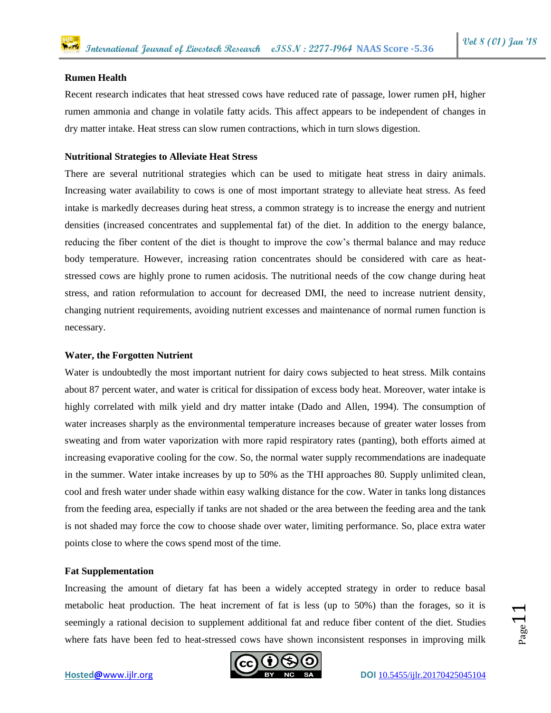#### **Rumen Health**

Recent research indicates that heat stressed cows have reduced rate of passage, lower rumen pH, higher rumen ammonia and change in volatile fatty acids. This affect appears to be independent of changes in dry matter intake. Heat stress can slow rumen contractions, which in turn slows digestion.

## **Nutritional Strategies to Alleviate Heat Stress**

There are several nutritional strategies which can be used to mitigate heat stress in dairy animals. Increasing water availability to cows is one of most important strategy to alleviate heat stress. As feed intake is markedly decreases during heat stress, a common strategy is to increase the energy and nutrient densities (increased concentrates and supplemental fat) of the diet. In addition to the energy balance, reducing the fiber content of the diet is thought to improve the cow's thermal balance and may reduce body temperature. However, increasing ration concentrates should be considered with care as heatstressed cows are highly prone to rumen acidosis. The nutritional needs of the cow change during heat stress, and ration reformulation to account for decreased DMI, the need to increase nutrient density, changing nutrient requirements, avoiding nutrient excesses and maintenance of normal rumen function is necessary.

#### **Water, the Forgotten Nutrient**

Water is undoubtedly the most important nutrient for dairy cows subjected to heat stress. Milk contains about 87 percent water, and water is critical for dissipation of excess body heat. Moreover, water intake is highly correlated with milk yield and dry matter intake (Dado and Allen, 1994). The consumption of water increases sharply as the environmental temperature increases because of greater water losses from sweating and from water vaporization with more rapid respiratory rates (panting), both efforts aimed at increasing evaporative cooling for the cow. So, the normal water supply recommendations are inadequate in the summer. Water intake increases by up to 50% as the THI approaches 80. Supply unlimited clean, cool and fresh water under shade within easy walking distance for the cow. Water in tanks long distances from the feeding area, especially if tanks are not shaded or the area between the feeding area and the tank is not shaded may force the cow to choose shade over water, limiting performance. So, place extra water points close to where the cows spend most of the time.

#### **Fat Supplementation**

Increasing the amount of dietary fat has been a widely accepted strategy in order to reduce basal metabolic heat production. The heat increment of fat is less (up to 50%) than the forages, so it is seemingly a rational decision to supplement additional fat and reduce fiber content of the diet. Studies where fats have been fed to heat-stressed cows have shown inconsistent responses in improving milk

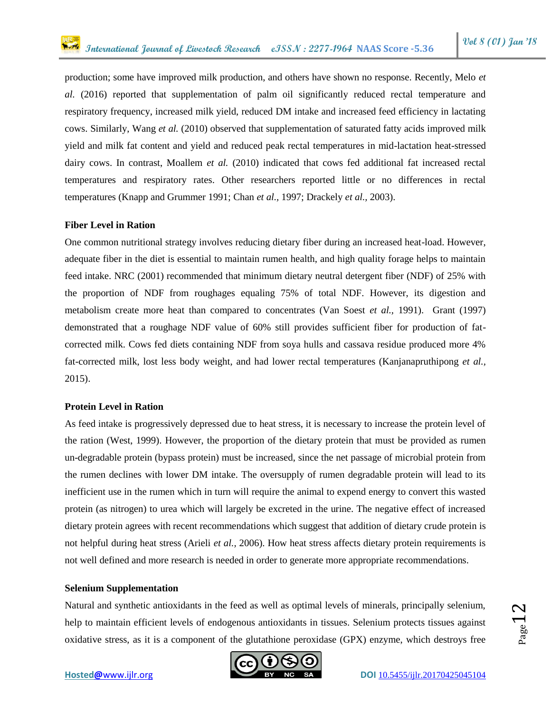production; some have improved milk production, and others have shown no response. Recently, Melo *et al.* (2016) reported that supplementation of palm oil significantly reduced rectal temperature and respiratory frequency, increased milk yield, reduced DM intake and increased feed efficiency in lactating cows. Similarly, Wang *et al.* (2010) observed that supplementation of saturated fatty acids improved milk yield and milk fat content and yield and reduced peak rectal temperatures in mid-lactation heat-stressed dairy cows. In contrast, Moallem *et al.* (2010) indicated that cows fed additional fat increased rectal temperatures and respiratory rates. Other researchers reported little or no differences in rectal temperatures (Knapp and Grummer 1991; Chan *et al.,* 1997; Drackely *et al.,* 2003).

## **Fiber Level in Ration**

One common nutritional strategy involves reducing dietary fiber during an increased heat-load. However, adequate fiber in the diet is essential to maintain rumen health, and high quality forage helps to maintain feed intake. NRC (2001) recommended that minimum dietary neutral detergent fiber (NDF) of 25% with the proportion of NDF from roughages equaling 75% of total NDF. However, its digestion and metabolism create more heat than compared to concentrates (Van Soest *et al.,* 1991). Grant (1997) demonstrated that a roughage NDF value of 60% still provides sufficient fiber for production of fatcorrected milk. Cows fed diets containing NDF from soya hulls and cassava residue produced more 4% fat-corrected milk, lost less body weight, and had lower rectal temperatures (Kanjanapruthipong *et al.,* 2015).

#### **Protein Level in Ration**

As feed intake is progressively depressed due to heat stress, it is necessary to increase the protein level of the ration (West, 1999). However, the proportion of the dietary protein that must be provided as rumen un-degradable protein (bypass protein) must be increased, since the net passage of microbial protein from the rumen declines with lower DM intake. The oversupply of rumen degradable protein will lead to its inefficient use in the rumen which in turn will require the animal to expend energy to convert this wasted protein (as nitrogen) to urea which will largely be excreted in the urine. The negative effect of increased dietary protein agrees with recent recommendations which suggest that addition of dietary crude protein is not helpful during heat stress (Arieli *et al.,* 2006). How heat stress affects dietary protein requirements is not well defined and more research is needed in order to generate more appropriate recommendations.

#### **Selenium Supplementation**

Natural and synthetic antioxidants in the feed as well as optimal levels of minerals, principally selenium, help to maintain efficient levels of endogenous antioxidants in tissues. Selenium protects tissues against oxidative stress, as it is a component of the glutathione peroxidase (GPX) enzyme, which destroys free

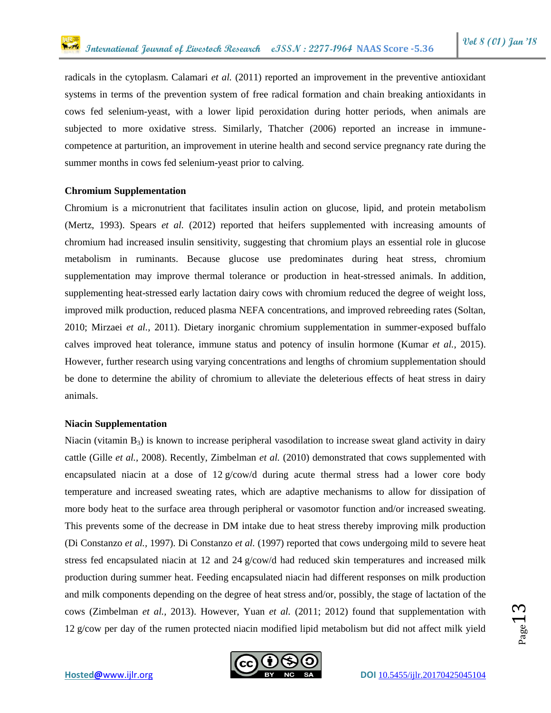radicals in the cytoplasm. Calamari *et al.* (2011) reported an improvement in the preventive antioxidant systems in terms of the prevention system of free radical formation and chain breaking antioxidants in cows fed selenium-yeast, with a lower lipid peroxidation during hotter periods, when animals are subjected to more oxidative stress. Similarly, Thatcher (2006) reported an increase in immunecompetence at parturition, an improvement in uterine health and second service pregnancy rate during the summer months in cows fed selenium-yeast prior to calving.

## **Chromium Supplementation**

Chromium is a micronutrient that facilitates insulin action on glucose, lipid, and protein metabolism (Mertz, 1993). Spears *et al.* (2012) reported that heifers supplemented with increasing amounts of chromium had increased insulin sensitivity, suggesting that chromium plays an essential role in glucose metabolism in ruminants. Because glucose use predominates during heat stress, chromium supplementation may improve thermal tolerance or production in heat-stressed animals. In addition, supplementing heat-stressed early lactation dairy cows with chromium reduced the degree of weight loss, improved milk production, reduced plasma NEFA concentrations, and improved rebreeding rates (Soltan, 2010; Mirzaei *et al.,* 2011). Dietary inorganic chromium supplementation in summer-exposed buffalo calves improved heat tolerance, immune status and potency of insulin hormone (Kumar *et al.,* 2015). However, further research using varying concentrations and lengths of chromium supplementation should be done to determine the ability of chromium to alleviate the deleterious effects of heat stress in dairy animals.

#### **Niacin Supplementation**

Niacin (vitamin  $B_3$ ) is known to increase peripheral vasodilation to increase sweat gland activity in dairy cattle (Gille *et al.,* 2008). Recently, Zimbelman *et al.* (2010) demonstrated that cows supplemented with encapsulated niacin at a dose of 12 g/cow/d during acute thermal stress had a lower core body temperature and increased sweating rates, which are adaptive mechanisms to allow for dissipation of more body heat to the surface area through peripheral or vasomotor function and/or increased sweating. This prevents some of the decrease in DM intake due to heat stress thereby improving milk production (Di Constanzo *et al.,* 1997). Di Constanzo *et al.* (1997) reported that cows undergoing mild to severe heat stress fed encapsulated niacin at 12 and 24 g/cow/d had reduced skin temperatures and increased milk production during summer heat. Feeding encapsulated niacin had different responses on milk production and milk components depending on the degree of heat stress and/or, possibly, the stage of lactation of the cows (Zimbelman *et al.,* 2013). However, Yuan *et al.* (2011; 2012) found that supplementation with 12 g/cow per day of the rumen protected niacin modified lipid metabolism but did not affect milk yield

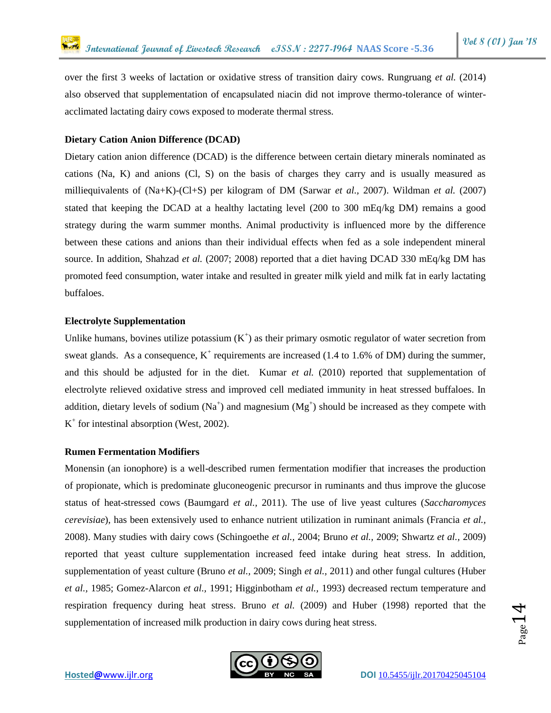over the first 3 weeks of lactation or oxidative stress of transition dairy cows. Rungruang *et al.* (2014) also observed that supplementation of encapsulated niacin did not improve thermo-tolerance of winteracclimated lactating dairy cows exposed to moderate thermal stress.

#### **Dietary Cation Anion Difference (DCAD)**

Dietary cation anion difference (DCAD) is the difference between certain dietary minerals nominated as cations (Na, K) and anions (Cl, S) on the basis of charges they carry and is usually measured as milliequivalents of (Na+K)-(Cl+S) per kilogram of DM (Sarwar *et al.,* 2007). Wildman *et al.* (2007) stated that keeping the DCAD at a healthy lactating level (200 to 300 mEq/kg DM) remains a good strategy during the warm summer months. Animal productivity is influenced more by the difference between these cations and anions than their individual effects when fed as a sole independent mineral source. In addition, Shahzad *et al.* (2007; 2008) reported that a diet having DCAD 330 mEq/kg DM has promoted feed consumption, water intake and resulted in greater milk yield and milk fat in early lactating buffaloes.

## **Electrolyte Supplementation**

Unlike humans, bovines utilize potassium  $(K^+)$  as their primary osmotic regulator of water secretion from sweat glands. As a consequence,  $K^+$  requirements are increased (1.4 to 1.6% of DM) during the summer, and this should be adjusted for in the diet. Kumar *et al.* (2010) reported that supplementation of electrolyte relieved oxidative stress and improved cell mediated immunity in heat stressed buffaloes. In addition, dietary levels of sodium ( $Na<sup>+</sup>$ ) and magnesium ( $Mg<sup>+</sup>$ ) should be increased as they compete with K + for intestinal absorption (West, 2002).

#### **Rumen Fermentation Modifiers**

Monensin (an ionophore) is a well-described rumen fermentation modifier that increases the production of propionate, which is predominate gluconeogenic precursor in ruminants and thus improve the glucose status of heat-stressed cows (Baumgard *et al.,* 2011). The use of live yeast cultures (*Saccharomyces cerevisiae*), has been extensively used to enhance nutrient utilization in ruminant animals (Francia *et al.,* 2008). Many studies with dairy cows (Schingoethe *et al.,* 2004; Bruno *et al.,* 2009; Shwartz *et al.,* 2009) reported that yeast culture supplementation increased feed intake during heat stress. In addition, supplementation of yeast culture (Bruno *et al.,* 2009; Singh *et al.,* 2011) and other fungal cultures (Huber *et al.,* 1985; Gomez-Alarcon *et al.,* 1991; Higginbotham *et al.,* 1993) decreased rectum temperature and respiration frequency during heat stress. Bruno *et al.* (2009) and Huber (1998) reported that the supplementation of increased milk production in dairy cows during heat stress.



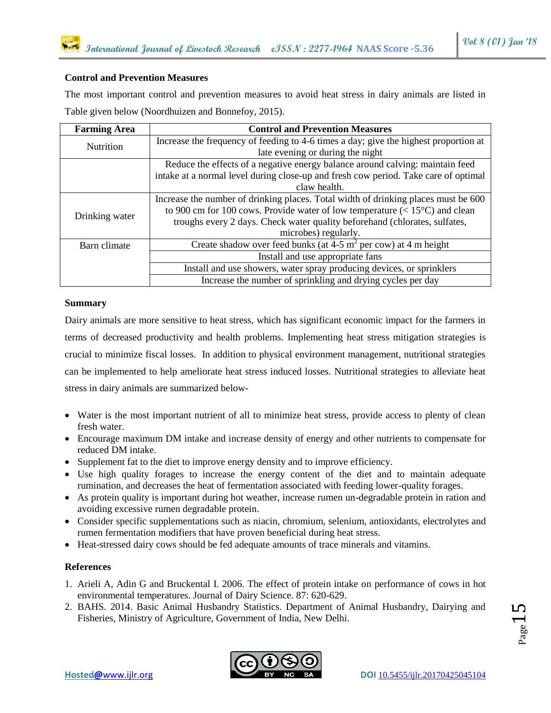## **Control and Prevention Measures**

The most important control and prevention measures to avoid heat stress in dairy animals are listed in Table given below (Noordhuizen and Bonnefoy, 2015).

| <b>Farming Area</b> | <b>Control and Prevention Measures</b>                                                |
|---------------------|---------------------------------------------------------------------------------------|
| <b>Nutrition</b>    | Increase the frequency of feeding to 4-6 times a day; give the highest proportion at  |
|                     | late evening or during the night                                                      |
|                     | Reduce the effects of a negative energy balance around calving: maintain feed         |
|                     | intake at a normal level during close-up and fresh cow period. Take care of optimal   |
|                     | claw health.                                                                          |
| Drinking water      | Increase the number of drinking places. Total width of drinking places must be 600    |
|                     | to 900 cm for 100 cows. Provide water of low temperature $(< 15^{\circ}$ C) and clean |
|                     | troughs every 2 days. Check water quality beforehand (chlorates, sulfates,            |
|                     | microbes) regularly.                                                                  |
| Barn climate        | Create shadow over feed bunks (at $4-5$ m <sup>2</sup> per cow) at 4 m height         |
|                     | Install and use appropriate fans                                                      |
|                     | Install and use showers, water spray producing devices, or sprinklers                 |
|                     | Increase the number of sprinkling and drying cycles per day                           |

## **Summary**

Dairy animals are more sensitive to heat stress, which has significant economic impact for the farmers in terms of decreased productivity and health problems. Implementing heat stress mitigation strategies is crucial to minimize fiscal losses. In addition to physical environment management, nutritional strategies can be implemented to help ameliorate heat stress induced losses. Nutritional strategies to alleviate heat stress in dairy animals are summarized below-

- Water is the most important nutrient of all to minimize heat stress, provide access to plenty of clean fresh water.
- Encourage maximum DM intake and increase density of energy and other nutrients to compensate for reduced DM intake.
- Supplement fat to the diet to improve energy density and to improve efficiency.
- Use high quality forages to increase the energy content of the diet and to maintain adequate rumination, and decreases the heat of fermentation associated with feeding lower-quality forages.
- As protein quality is important during hot weather, increase rumen un-degradable protein in ration and avoiding excessive rumen degradable protein.
- Consider specific supplementations such as niacin, chromium, selenium, antioxidants, electrolytes and rumen fermentation modifiers that have proven beneficial during heat stress.
- Heat-stressed dairy cows should be fed adequate amounts of trace minerals and vitamins.

## **References**

- 1. Arieli A, Adin G and Bruckental I. 2006. The effect of protein intake on performance of cows in hot environmental temperatures. Journal of Dairy Science. 87: 620-629.
- 2. BAHS. 2014. Basic Animal Husbandry Statistics. Department of Animal Husbandry, Dairying and Fisheries, Ministry of Agriculture, Government of India, New Delhi.

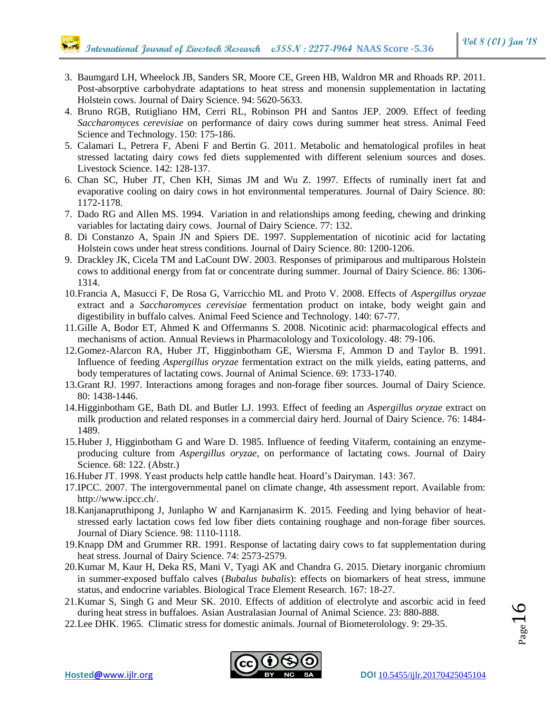- 3. Baumgard LH, Wheelock JB, Sanders SR, Moore CE, Green HB, Waldron MR and Rhoads RP. 2011. Post-absorptive carbohydrate adaptations to heat stress and monensin supplementation in lactating Holstein cows. Journal of Dairy Science. 94: 5620-5633.
- 4. Bruno RGB, Rutigliano HM, Cerri RL, Robinson PH and Santos JEP. 2009. Effect of feeding *Saccharomyces cerevisiae* on performance of dairy cows during summer heat stress. Animal Feed Science and Technology. 150: 175-186.
- 5. Calamari L, Petrera F, Abeni F and Bertin G. 2011. Metabolic and hematological profiles in heat stressed lactating dairy cows fed diets supplemented with different selenium sources and doses. Livestock Science. 142: 128-137.
- 6. Chan SC, Huber JT, Chen KH, Simas JM and Wu Z. 1997. Effects of ruminally inert fat and evaporative cooling on dairy cows in hot environmental temperatures. Journal of Dairy Science. 80: 1172-1178.
- 7. Dado RG and Allen MS. 1994. Variation in and relationships among feeding, chewing and drinking variables for lactating dairy cows. Journal of Dairy Science. 77: 132.
- 8. Di Constanzo A, Spain JN and Spiers DE. 1997. Supplementation of nicotinic acid for lactating Holstein cows under heat stress conditions. Journal of Dairy Science. 80: 1200-1206.
- 9. Drackley JK, Cicela TM and LaCount DW. 2003. Responses of primiparous and multiparous Holstein cows to additional energy from fat or concentrate during summer. Journal of Dairy Science. 86: 1306- 1314.
- 10.Francia A, Masucci F, De Rosa G, Varricchio ML and Proto V. 2008. Effects of *Aspergillus oryzae* extract and a *Saccharomyces cerevisiae* fermentation product on intake, body weight gain and digestibility in buffalo calves. Animal Feed Science and Technology. 140: 67-77.
- 11.Gille A, Bodor ET, Ahmed K and Offermanns S. 2008. Nicotinic acid: pharmacological effects and mechanisms of action. Annual Reviews in Pharmacolology and Toxicolology. 48: 79-106.
- 12.Gomez-Alarcon RA, Huber JT, Higginbotham GE, Wiersma F, Ammon D and Taylor B. 1991. Influence of feeding *Aspergillus oryzae* fermentation extract on the milk yields, eating patterns, and body temperatures of lactating cows. Journal of Animal Science. 69: 1733-1740.
- 13.Grant RJ. 1997. Interactions among forages and non-forage fiber sources. Journal of Dairy Science. 80: 1438-1446.
- 14.Higginbotham GE, Bath DL and Butler LJ. 1993. Effect of feeding an *Aspergillus oryzae* extract on milk production and related responses in a commercial dairy herd. Journal of Dairy Science. 76: 1484- 1489.
- 15.Huber J, Higginbotham G and Ware D. 1985. Influence of feeding Vitaferm, containing an enzymeproducing culture from *Aspergillus oryzae*, on performance of lactating cows. Journal of Dairy Science. 68: 122. (Abstr.)
- 16.Huber JT. 1998. Yeast products help cattle handle heat. Hoard's Dairyman. 143: 367.
- 17.IPCC. 2007. The intergovernmental panel on climate change, 4th assessment report. Available from: http://www.ipcc.ch/.
- 18.Kanjanapruthipong J, Junlapho W and Karnjanasirm K. 2015. Feeding and lying behavior of heatstressed early lactation cows fed low fiber diets containing roughage and non-forage fiber sources. Journal of Diary Science. 98: 1110-1118.
- 19.Knapp DM and Grummer RR. 1991. Response of lactating dairy cows to fat supplementation during heat stress. Journal of Dairy Science. 74: 2573-2579.
- 20.Kumar M, Kaur H, Deka RS, Mani V, Tyagi AK and Chandra G. 2015. Dietary inorganic chromium in summer-exposed buffalo calves (*Bubalus bubalis*): effects on biomarkers of heat stress, immune status, and endocrine variables. Biological Trace Element Research. 167: 18-27.
- 21.Kumar S, Singh G and Meur SK. 2010. Effects of addition of electrolyte and ascorbic acid in feed during heat stress in buffaloes. Asian Australasian Journal of Animal Science. 23: 880-888.
- 22.Lee DHK. 1965. Climatic stress for domestic animals. Journal of Biometerolology. 9: 29-35.

 $P$ age $1$ 

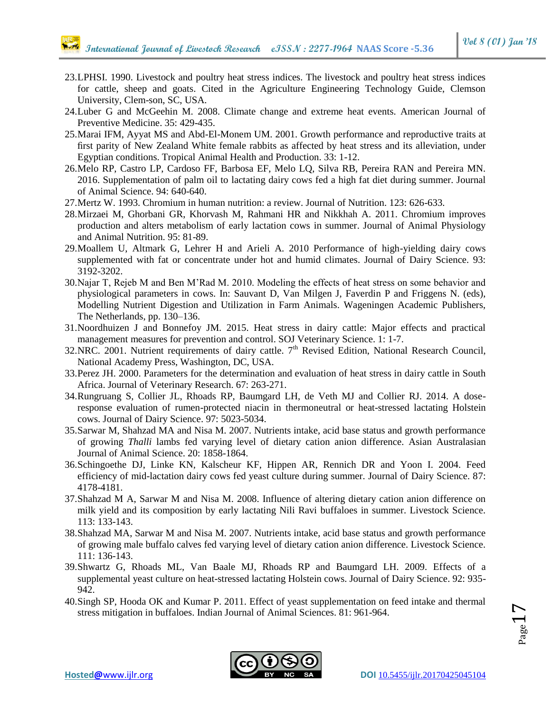- 23.LPHSI. 1990. Livestock and poultry heat stress indices. The livestock and poultry heat stress indices for cattle, sheep and goats. Cited in the Agriculture Engineering Technology Guide, Clemson University, Clem-son, SC, USA.
- 24.Luber G and McGeehin M. 2008. Climate change and extreme heat events. American Journal of Preventive Medicine. 35: 429-435.
- 25.Marai IFM, Ayyat MS and Abd-El-Monem UM. 2001. Growth performance and reproductive traits at first parity of New Zealand White female rabbits as affected by heat stress and its alleviation, under Egyptian conditions. Tropical Animal Health and Production. 33: 1-12.
- 26.Melo RP, Castro LP, Cardoso FF, Barbosa EF, Melo LQ, Silva RB, Pereira RAN and Pereira MN. 2016. Supplementation of palm oil to lactating dairy cows fed a high fat diet during summer. Journal of Animal Science. 94: 640-640.
- 27.Mertz W. 1993. Chromium in human nutrition: a review. Journal of Nutrition. 123: 626-633.
- 28.Mirzaei M, Ghorbani GR, Khorvash M, Rahmani HR and Nikkhah A. 2011. Chromium improves production and alters metabolism of early lactation cows in summer. Journal of Animal Physiology and Animal Nutrition. 95: 81-89.
- 29.Moallem U, Altmark G, Lehrer H and Arieli A. 2010 Performance of high-yielding dairy cows supplemented with fat or concentrate under hot and humid climates. Journal of Dairy Science. 93: 3192-3202.
- 30.Najar T, Rejeb M and Ben M'Rad M. 2010. Modeling the effects of heat stress on some behavior and physiological parameters in cows. In: Sauvant D, Van Milgen J, Faverdin P and Friggens N. (eds), Modelling Nutrient Digestion and Utilization in Farm Animals. Wageningen Academic Publishers, The Netherlands, pp. 130–136.
- 31.Noordhuizen J and Bonnefoy JM. 2015. Heat stress in dairy cattle: Major effects and practical management measures for prevention and control. SOJ Veterinary Science. 1: 1-7.
- 32.NRC. 2001. Nutrient requirements of dairy cattle.  $7<sup>th</sup>$  Revised Edition, National Research Council, National Academy Press, Washington, DC, USA.
- 33.Perez JH. 2000. Parameters for the determination and evaluation of heat stress in dairy cattle in South Africa. Journal of Veterinary Research. 67: 263-271.
- 34.Rungruang S, Collier JL, Rhoads RP, Baumgard LH, de Veth MJ and Collier RJ. 2014. A doseresponse evaluation of rumen-protected niacin in thermoneutral or heat-stressed lactating Holstein cows. Journal of Dairy Science. 97: 5023-5034.
- 35.Sarwar M, Shahzad MA and Nisa M. 2007. Nutrients intake, acid base status and growth performance of growing *Thalli* lambs fed varying level of dietary cation anion difference. Asian Australasian Journal of Animal Science. 20: 1858-1864.
- 36.Schingoethe DJ, Linke KN, Kalscheur KF, Hippen AR, Rennich DR and Yoon I. 2004. Feed efficiency of mid-lactation dairy cows fed yeast culture during summer. Journal of Dairy Science. 87: 4178-4181.
- 37.Shahzad M A, Sarwar M and Nisa M. 2008. Influence of altering dietary cation anion difference on milk yield and its composition by early lactating Nili Ravi buffaloes in summer. Livestock Science. 113: 133-143.
- 38.Shahzad MA, Sarwar M and Nisa M. 2007. Nutrients intake, acid base status and growth performance of growing male buffalo calves fed varying level of dietary cation anion difference. Livestock Science. 111: 136-143.
- 39.Shwartz G, Rhoads ML, Van Baale MJ, Rhoads RP and Baumgard LH. 2009. Effects of a supplemental yeast culture on heat-stressed lactating Holstein cows. Journal of Dairy Science. 92: 935- 942.
- 40.Singh SP, Hooda OK and Kumar P. 2011. Effect of yeast supplementation on feed intake and thermal stress mitigation in buffaloes. Indian Journal of Animal Sciences. 81: 961-964.